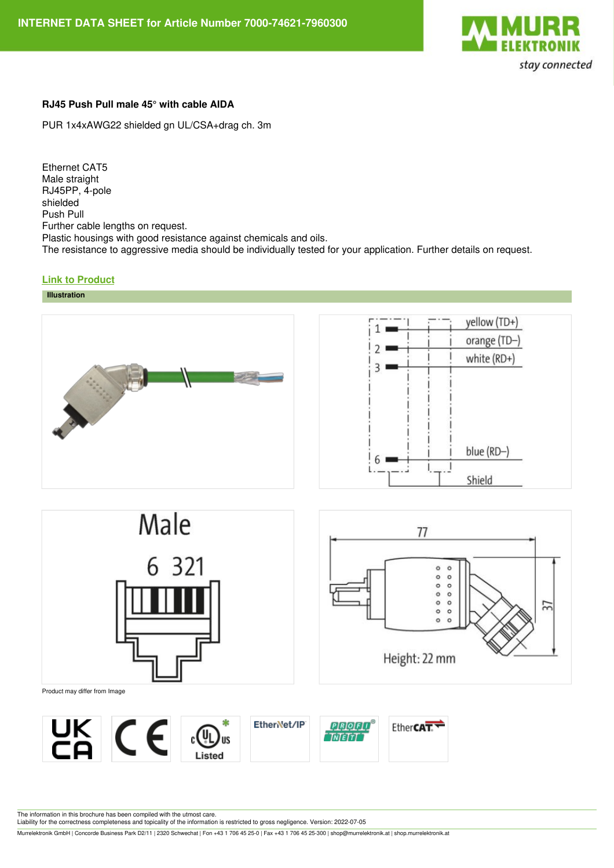

## **RJ45 Push Pull male 45° with cable AIDA**

PUR 1x4xAWG22 shielded gn UL/CSA+drag ch. 3m

Ethernet CAT5 Male straight RJ45PP, 4-pole shielded Push Pull Further cable lengths on request. Plastic housings with good resistance against chemicals and oils. The resistance to aggressive media should be individually tested for your application. Further details on request.

## **Link to [Product](https://shop.murrelektronik.at/7000-74621-7960300?lang=1)**









Product may differ from Image



The information in this brochure has been compiled with the utmost care.

Liability for the correctness completeness and topicality of the information is restricted to gross negligence. Version: 2022-07-05

Murrelektronik GmbH | Concorde Business Park D2/11 | 2320 Schwechat | Fon +43 1 706 45 25-0 | Fax +43 1 706 45 25-300 | shop@murrelektronik.at | shop.murrelektronik.at